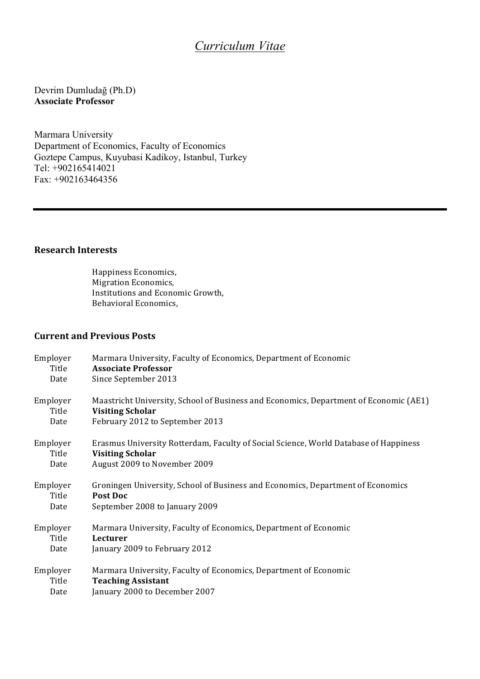# *Curriculum Vitae*

Devrim Dumludağ (Ph.D) **Associate Professor**

Marmara University Department of Economics, Faculty of Economics Goztepe Campus, Kuyubasi Kadikoy, Istanbul, Turkey Tel: +902165414021 Fax: +902163464356

#### **Research Interests**

Happiness Economics, Migration Economics, Institutions and Economic Growth, Behavioral Economics, 

# **Current and Previous Posts**

| Employer | Marmara University, Faculty of Economics, Department of Economic                      |
|----------|---------------------------------------------------------------------------------------|
| Title    | <b>Associate Professor</b>                                                            |
| Date     | Since September 2013                                                                  |
| Employer | Maastricht University, School of Business and Economics, Department of Economic (AE1) |
| Title    | <b>Visiting Scholar</b>                                                               |
| Date     | February 2012 to September 2013                                                       |
| Employer | Erasmus University Rotterdam, Faculty of Social Science, World Database of Happiness  |
| Title    | <b>Visiting Scholar</b>                                                               |
| Date     | August 2009 to November 2009                                                          |
| Employer | Groningen University, School of Business and Economics, Department of Economics       |
| Title    | Post Doc                                                                              |
| Date     | September 2008 to January 2009                                                        |
| Employer | Marmara University, Faculty of Economics, Department of Economic                      |
| Title    | Lecturer                                                                              |
| Date     | January 2009 to February 2012                                                         |
| Employer | Marmara University, Faculty of Economics, Department of Economic                      |
| Title    | <b>Teaching Assistant</b>                                                             |
| Date     | January 2000 to December 2007                                                         |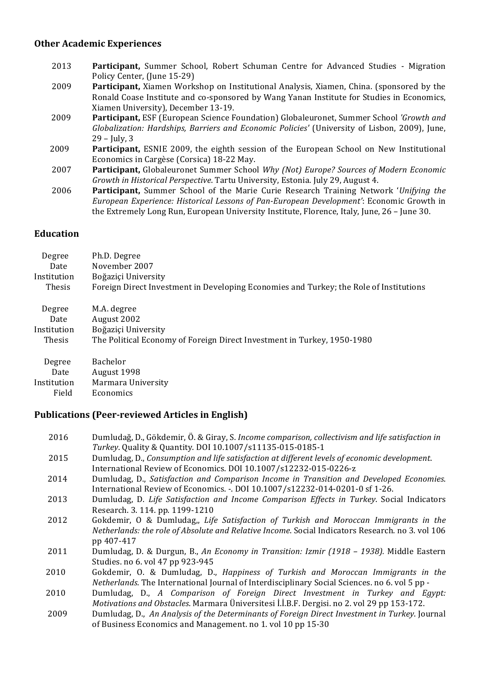#### **Other Academic Experiences**

- 2013 **Participant,** Summer School, Robert Schuman Centre for Advanced Studies Migration Policy Center, (June 15-29)
- 2009 **Participant**, Xiamen Workshop on Institutional Analysis, Xiamen, China. (sponsored by the Ronald Coase Institute and co-sponsored by Wang Yanan Institute for Studies in Economics, Xiamen University), December 13-19.
- 2009 **Participant,** ESF (European Science Foundation) Globaleuronet, Summer School 'Growth and *Globalization: Hardships, Barriers and Economic Policies'* (University of Lisbon, 2009), June,  $29 - \text{Iulv}$ , 3
- 2009 **Participant**, ESNIE 2009, the eighth session of the European School on New Institutional Economics in Cargèse (Corsica) 18-22 May.
- 2007 **Participant,** Globaleuronet Summer School Why (Not) Europe? Sources of Modern Economic *Growth in Historical Perspective*. Tartu University, Estonia. July 29, August 4.
- 2006 **Participant,** Summer School of the Marie Curie Research Training Network 'Unifying the *European Experience: Historical Lessons of Pan-European Development'*: Economic Growth in the Extremely Long Run, European University Institute, Florence, Italy, June,  $26 -$  June  $30$ .

# **Education**

| Degree      | Ph.D. Degree                                                                           |
|-------------|----------------------------------------------------------------------------------------|
| Date        | November 2007                                                                          |
| Institution | Boğaziçi University                                                                    |
| Thesis      | Foreign Direct Investment in Developing Economies and Turkey; the Role of Institutions |

| Degree      | M.A. degree                                                             |
|-------------|-------------------------------------------------------------------------|
| Date        | August 2002                                                             |
| Institution | Boğaziçi University                                                     |
| Thesis      | The Political Economy of Foreign Direct Investment in Turkey, 1950-1980 |
|             |                                                                         |

| Degree      | <b>Bachelor</b>    |
|-------------|--------------------|
| Date        | August 1998        |
| Institution | Marmara University |
| Field       | Economics          |

#### **Publications (Peer-reviewed Articles in English)**

- 2016 Dumludağ, D., Gökdemir, Ö. & Giray, S. *Income comparison, collectivism and life satisfaction in Turkey*. Quality & Quantity. DOI 10.1007/s11135-015-0185-1
- 2015 Dumludag, D., *Consumption and life satisfaction at different levels of economic development.* International Review of Economics. DOI 10.1007/s12232-015-0226-z
- 2014 Dumludag, D., *Satisfaction and Comparison Income in Transition and Developed Economies.* International Review of Economics. -. DOI 10.1007/s12232-014-0201-0 sf 1-26.
- 2013 Dumludag, D. *Life Satisfaction and Income Comparison Effects in Turkey*. Social Indicators Research. 3. 114. pp. 1199-1210
- 2012 Gokdemir, O & Dumludag,, *Life Satisfaction of Turkish and Moroccan Immigrants in the Netherlands: the role of Absolute and Relative Income.* Social Indicators Research. no 3. vol 106 pp 407-417
- 2011 Dumludag, D. & Durgun, B., *An Economy in Transition: Izmir (1918 – 1938).* Middle Eastern Studies. no 6. vol 47 pp 923-945
- 2010 Gokdemir, O. & Dumludag, D., *Happiness of Turkish and Moroccan Immigrants in the Netherlands*. The International Journal of Interdisciplinary Social Sciences. no 6. vol 5 pp -
- 2010 Dumludag, D., A Comparison of Foreign Direct Investment in Turkey and Egypt: *Motivations and Obstacles*. Marmara Üniversitesi İ.İ.B.F. Dergisi. no 2. vol 29 pp 153-172.
- 2009 Dumludag, D., An Analysis of the Determinants of Foreign Direct Investment in Turkey. Journal of Business Economics and Management. no 1, vol 10 pp 15-30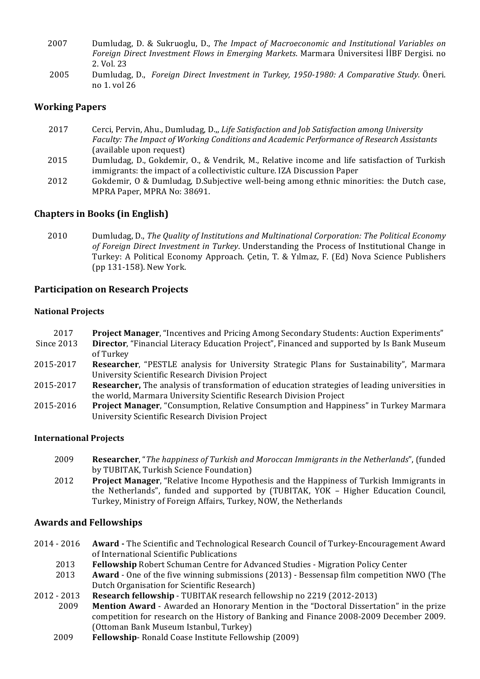- 2007 Dumludag, D. & Sukruoglu, D., *The Impact of Macroeconomic and Institutional Variables on* Foreign Direct Investment Flows in Emerging Markets. Marmara Üniversitesi İİBF Dergisi. no 2. Vol. 23
- 2005 Dumludag, D., *Foreign Direct Investment in Turkey, 1950-1980: A Comparative Study.* Öneri. no 1. vol 26

#### **Working Papers**

- 2017 Cerci, Pervin, Ahu., Dumludag, D.,, Life Satisfaction and Job Satisfaction among University Faculty: The Impact of Working Conditions and Academic Performance of Research Assistants (available upon request)
- 2015 Dumludag, D., Gokdemir, O., & Vendrik, M., Relative income and life satisfaction of Turkish immigrants: the impact of a collectivistic culture. IZA Discussion Paper
- 2012 Gokdemir, O & Dumludag, D.Subjective well-being among ethnic minorities: the Dutch case, MPRA Paper, MPRA No: 38691.

# **Chapters in Books (in English)**

2010 Dumludag, D., *The Quality of Institutions and Multinational Corporation: The Political Economy* of Foreign Direct Investment in Turkey. Understanding the Process of Institutional Change in Turkey: A Political Economy Approach. Cetin, T. & Yılmaz, F. (Ed) Nova Science Publishers (pp 131-158). New York.

#### **Participation on Research Projects**

#### **National Projects**

2017 Project Manager, "Incentives and Pricing Among Secondary Students: Auction Experiments" Since 2013 **Director**, "Financial Literacy Education Project", Financed and supported by Is Bank Museum of Turkey 2015-2017 **Researcher**, "PESTLE analysis for University Strategic Plans for Sustainability", Marmara University Scientific Research Division Project 2015-2017 **Researcher,** The analysis of transformation of education strategies of leading universities in the world, Marmara University Scientific Research Division Project 2015-2016 Project Manager, "Consumption, Relative Consumption and Happiness" in Turkey Marmara University Scientific Research Division Project

#### **International Projects**

- 2009 **Researcher**, "*The happiness of Turkish and Moroccan Immigrants in the Netherlands*", (funded by TUBITAK, Turkish Science Foundation)
- 2012 Project Manager, "Relative Income Hypothesis and the Happiness of Turkish Immigrants in the Netherlands", funded and supported by (TUBITAK, YOK – Higher Education Council, Turkey, Ministry of Foreign Affairs, Turkey, NOW, the Netherlands

#### **Awards and Fellowships**

- 2014 2016 Award The Scientific and Technological Research Council of Turkey-Encouragement Award of International Scientific Publications
	- 2013 **Fellowship** Robert Schuman Centre for Advanced Studies Migration Policy Center
	- **2013 Award** One of the five winning submissions (2013) Bessensap film competition NWO (The Dutch Organisation for Scientific Research)
- 2012 - 2013 **Research fellowship** TUBITAK research fellowship no 2219 (2012-2013)
	- 2009 **Mention Award** Awarded an Honorary Mention in the "Doctoral Dissertation" in the prize competition for research on the History of Banking and Finance 2008-2009 December 2009. (Ottoman Bank Museum Istanbul, Turkey)
		- 2009 **Fellowship** Ronald Coase Institute Fellowship (2009)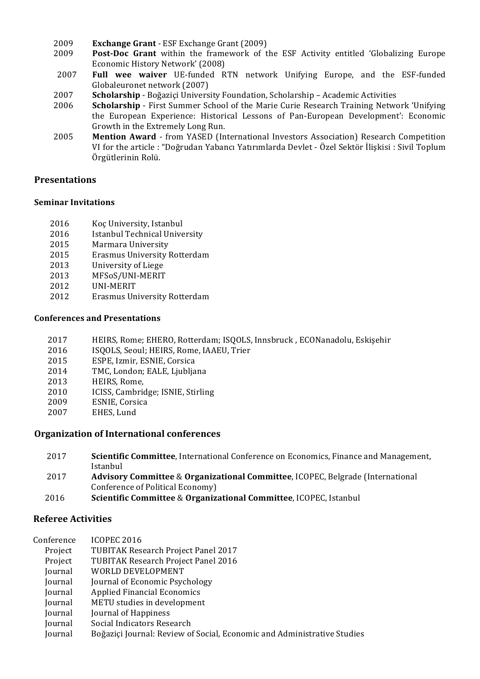- 2009 **Exchange Grant** ESF Exchange Grant (2009)
- 2009 **Post-Doc Grant** within the framework of the ESF Activity entitled 'Globalizing Europe Economic History Network' (2008)
- 2007 **Full wee waiver** UE-funded RTN network Unifying Europe, and the ESF-funded Globaleuronet network (2007)
- 2007 **Scholarship** Boğazici University Foundation, Scholarship Academic Activities
- 2006 **Scholarship** First Summer School of the Marie Curie Research Training Network 'Unifying the European Experience: Historical Lessons of Pan-European Development': Economic Growth in the Extremely Long Run.
- 2005 **Mention Award** from YASED (International Investors Association) Research Competition VI for the article : "Doğrudan Yabancı Yatırımlarda Devlet - Özel Sektör İliskisi : Sivil Tonlum Örgütlerinin Rolü.

#### **Presentations**

#### **Seminar Invitations**

- 2016 Koç University, Istanbul
- 2016 Istanbul Technical University
- 2015 Marmara University
- 2015 Erasmus University Rotterdam
- 2013 University of Liege
- 2013 MFSoS/UNI-MERIT
- 2012 UNI-MERIT
- 2012 Erasmus University Rotterdam

#### **Conferences and Presentations**

- 2017 HEIRS, Rome; EHERO, Rotterdam; ISQOLS, Innsbruck, ECONanadolu, Eskişehir
- 2016 ISQOLS, Seoul; HEIRS, Rome, IAAEU, Trier
- 2015 ESPE, Izmir, ESNIE, Corsica
- 2014 TMC, London: EALE, Liubliana
- 2013 HEIRS, Rome,
- 2010 ICISS, Cambridge; ISNIE, Stirling
- 2009 ESNIE, Corsica
- 2007 EHES, Lund

#### **Organization of International conferences**

| 2017 | Scientific Committee, International Conference on Economics, Finance and Management, |
|------|--------------------------------------------------------------------------------------|
|      | Istanbul                                                                             |
| 2017 | Advisory Committee & Organizational Committee, ICOPEC, Belgrade (International       |

- Conference of Political Economy)
- 2016 **Scientific Committee & Organizational Committee**, ICOPEC, Istanbul

# **Referee Activities**

| Conference | <b>ICOPEC 2016</b>                                                      |
|------------|-------------------------------------------------------------------------|
| Project    | TUBITAK Research Project Panel 2017                                     |
| Project    | <b>TUBITAK Research Project Panel 2016</b>                              |
| Journal    | WORLD DEVELOPMENT                                                       |
| Journal    | Journal of Economic Psychology                                          |
| Journal    | <b>Applied Financial Economics</b>                                      |
| Journal    | METU studies in development                                             |
| Journal    | Journal of Happiness                                                    |
| Journal    | Social Indicators Research                                              |
| Journal    | Boğaziçi Journal: Review of Social, Economic and Administrative Studies |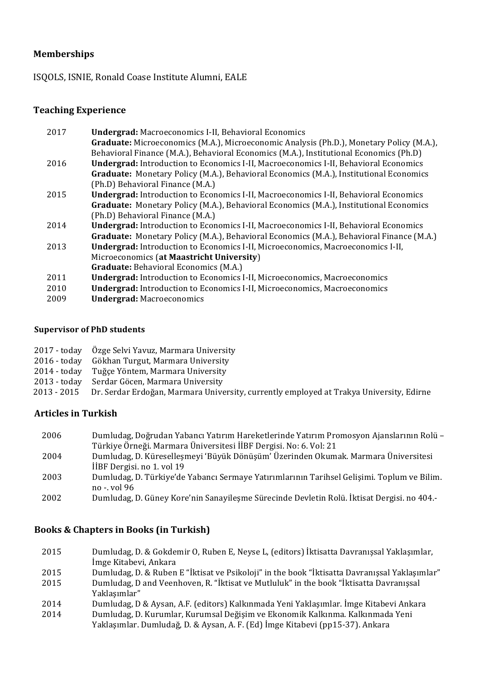# **Memberships**

ISQOLS, ISNIE, Ronald Coase Institute Alumni, EALE

### **Teaching Experience**

| 2017 | <b>Undergrad: Macroeconomics I-II, Behavioral Economics</b>                                     |
|------|-------------------------------------------------------------------------------------------------|
|      | Graduate: Microeconomics (M.A.), Microeconomic Analysis (Ph.D.), Monetary Policy (M.A.),        |
|      | Behavioral Finance (M.A.), Behavioral Economics (M.A.), Institutional Economics (Ph.D)          |
| 2016 | <b>Undergrad:</b> Introduction to Economics I-II, Macroeconomics I-II, Behavioral Economics     |
|      | Graduate: Monetary Policy (M.A.), Behavioral Economics (M.A.), Institutional Economics          |
|      | (Ph.D) Behavioral Finance (M.A.)                                                                |
| 2015 | <b>Undergrad:</b> Introduction to Economics I-II, Macroeconomics I-II, Behavioral Economics     |
|      | Graduate: Monetary Policy (M.A.), Behavioral Economics (M.A.), Institutional Economics          |
|      | (Ph.D) Behavioral Finance (M.A.)                                                                |
| 2014 | <b>Undergrad:</b> Introduction to Economics I-II, Macroeconomics I-II, Behavioral Economics     |
|      | <b>Graduate:</b> Monetary Policy (M.A.), Behavioral Economics (M.A.), Behavioral Finance (M.A.) |
| 2013 | <b>Undergrad:</b> Introduction to Economics I-II, Microeconomics, Macroeconomics I-II,          |
|      | Microeconomics (at Maastricht University)                                                       |
|      | Graduate: Behavioral Economics (M.A.)                                                           |
| 2011 | <b>Undergrad:</b> Introduction to Economics I-II, Microeconomics, Macroeconomics                |
| 2010 | <b>Undergrad:</b> Introduction to Economics I-II, Microeconomics, Macroeconomics                |
| 2009 | <b>Undergrad: Macroeconomics</b>                                                                |
|      |                                                                                                 |

#### **Supervisor of PhD students**

- 2017 - today Özge Selvi Yavuz, Marmara University
- 2016 today Gökhan Turgut, Marmara University
- 2014 today Tuğçe Yöntem, Marmara University
- 2013 today Serdar Göcen, Marmara University
- 2013 2015 Dr. Serdar Erdoğan, Marmara University, currently employed at Trakya University, Edirne

# **Articles in Turkish**

- 2006 Dumludag, Doğrudan Yabancı Yatırım Hareketlerinde Yatırım Promosyon Ajanslarının Rolü Türkiye Örneği. Marmara Üniversitesi İİBF Dergisi. No: 6. Vol: 21 2004 Dumludag, D. Küreselleşmeyi 'Büyük Dönüşüm' Üzerinden Okumak. Marmara Üniversitesi İİBF Dergisi. no 1. vol 19 2003 Dumludag, D. Türkiye'de Yabancı Sermaye Yatırımlarının Tarihsel Gelişimi. Toplum ve Bilim. no -. vol 96
- 2002 Dumludag, D. Güney Kore'nin Sanayileşme Sürecinde Devletin Rolü. İktisat Dergisi. no 404.-

# **Books & Chapters in Books (in Turkish)**

- 2015 Dumludag, D. & Gokdemir O, Ruben E, Neyse L, (editors) İktisatta Davranışsal Yaklaşımlar, İmge Kitabevi, Ankara
- 2015 Dumludag, D. & Ruben E "İktisat ve Psikoloji" in the book "İktisatta Davranışsal Yaklaşımlar"
- 2015 Dumludag, D and Veenhoven, R. "İktisat ve Mutluluk" in the book "İktisatta Davranışsal Yaklaşımlar"
- 2014 Dumludag, D & Aysan, A.F. (editors) Kalkınmada Yeni Yaklaşımlar. İmge Kitabevi Ankara
- 2014 Dumludag, D. Kurumlar, Kurumsal Değişim ve Ekonomik Kalkınma. Kalkınmada Yeni Yaklaşımlar. Dumludağ, D. & Aysan, A. F. (Ed) İmge Kitabevi (pp15-37). Ankara